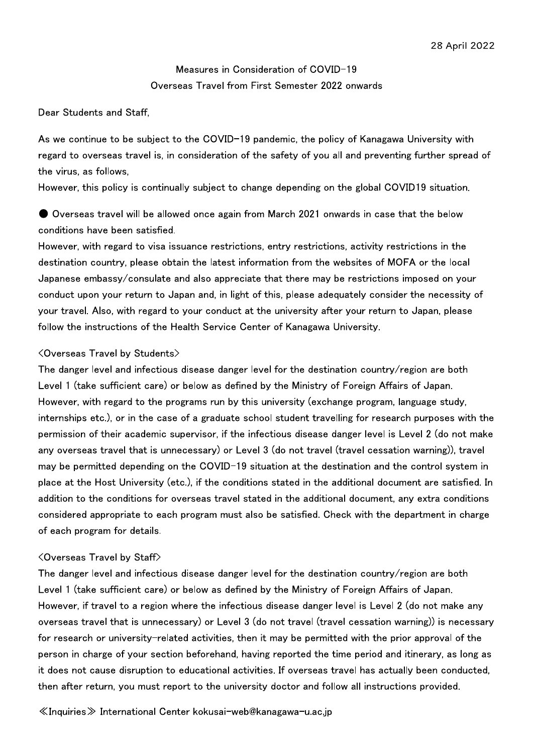Measures in Consideration of COVID-19 Overseas Travel from First Semester 2022 onwards

Dear Students and Staff,

As we continue to be subject to the COVID-19 pandemic, the policy of Kanagawa University with regard to overseas travel is, in consideration of the safety of you all and preventing further spread of the virus, as follows,

However, this policy is continually subject to change depending on the global COVID19 situation.

● Overseas travel will be allowed once again from March 2021 onwards in case that the below conditions have been satisfied.

However, with regard to visa issuance restrictions, entry restrictions, activity restrictions in the destination country, please obtain the latest information from the websites of MOFA or the local Japanese embassy/consulate and also appreciate that there may be restrictions imposed on your conduct upon your return to Japan and, in light of this, please adequately consider the necessity of your travel. Also, with regard to your conduct at the university after your return to Japan, please follow the instructions of the Health Service Center of Kanagawa University.

## <Overseas Travel by Students>

The danger level and infectious disease danger level for the destination country/region are both Level 1 (take sufficient care) or below as defined by the Ministry of Foreign Affairs of Japan. However, with regard to the programs run by this university (exchange program, language study, internships etc.), or in the case of a graduate school student travelling for research purposes with the permission of their academic supervisor, if the infectious disease danger level is Level 2 (do not make any overseas travel that is unnecessary) or Level 3 (do not travel (travel cessation warning)), travel may be permitted depending on the COVID-19 situation at the destination and the control system in place at the Host University (etc.), if the conditions stated in the additional document are satisfied. In addition to the conditions for overseas travel stated in the additional document, any extra conditions considered appropriate to each program must also be satisfied. Check with the department in charge of each program for details.

## <Overseas Travel by Staff>

The danger level and infectious disease danger level for the destination country/region are both Level 1 (take sufficient care) or below as defined by the Ministry of Foreign Affairs of Japan. However, if travel to a region where the infectious disease danger level is Level 2 (do not make any overseas travel that is unnecessary) or Level 3 (do not travel (travel cessation warning)) is necessary for research or university-related activities, then it may be permitted with the prior approval of the person in charge of your section beforehand, having reported the time period and itinerary, as long as it does not cause disruption to educational activities. If overseas travel has actually been conducted, then after return, you must report to the university doctor and follow all instructions provided.

≪Inquiries≫ International Center kokusai-web@kanagawa-u.ac.jp